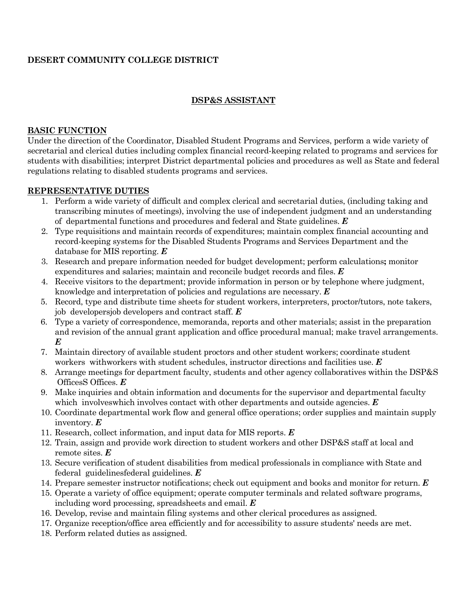# **DESERT COMMUNITY COLLEGE DISTRICT**

### **DSP&S ASSISTANT**

#### **BASIC FUNCTION**

Under the direction of the Coordinator, Disabled Student Programs and Services, perform a wide variety of secretarial and clerical duties including complex financial record-keeping related to programs and services for students with disabilities; interpret District departmental policies and procedures as well as State and federal regulations relating to disabled students programs and services.

#### **REPRESENTATIVE DUTIES**

- 1. Perform a wide variety of difficult and complex clerical and secretarial duties, (including taking and transcribing minutes of meetings), involving the use of independent judgment and an understanding of departmental functions and procedures and federal and State guidelines. *E*
- 2. Type requisitions and maintain records of expenditures; maintain complex financial accounting and record-keeping systems for the Disabled Students Programs and Services Department and the database for MIS reporting. *E*
- 3. Research and prepare information needed for budget development; perform calculations**;** monitor expenditures and salaries; maintain and reconcile budget records and files. *E*
- 4. Receive visitors to the department; provide information in person or by telephone where judgment, knowledge and interpretation of policies and regulations are necessary. *E*
- 5. Record, type and distribute time sheets for student workers, interpreters, proctor/tutors, note takers, job developersjob developers and contract staff. *E*
- 6. Type a variety of correspondence, memoranda, reports and other materials; assist in the preparation and revision of the annual grant application and office procedural manual; make travel arrangements. *E*
- 7. Maintain directory of available student proctors and other student workers; coordinate student workers withworkers with student schedules, instructor directions and facilities use. *E*
- 8. Arrange meetings for department faculty, students and other agency collaboratives within the DSP&S OfficesS Offices. *E*
- 9. Make inquiries and obtain information and documents for the supervisor and departmental faculty which involves which involves contact with other departments and outside agencies. *E*
- 10. Coordinate departmental work flow and general office operations; order supplies and maintain supply inventory. *E*
- 11. Research, collect information, and input data for MIS reports. *E*
- 12. Train, assign and provide work direction to student workers and other DSP&S staff at local and remote sites. *E*
- 13. Secure verification of student disabilities from medical professionals in compliance with State and federal guidelinesfederal guidelines. *E*
- 14. Prepare semester instructor notifications; check out equipment and books and monitor for return. *E*
- 15. Operate a variety of office equipment; operate computer terminals and related software programs, including word processing, spreadsheets and email. *E*
- 16. Develop, revise and maintain filing systems and other clerical procedures as assigned.
- 17. Organize reception/office area efficiently and for accessibility to assure students' needs are met.
- 18. Perform related duties as assigned.